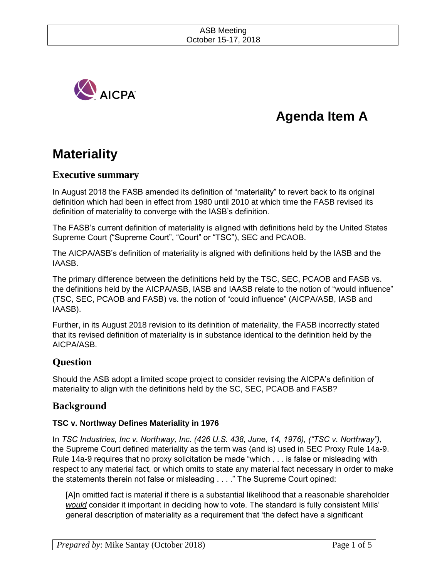

# **Agenda Item A**

# **Materiality**

# **Executive summary**

In August 2018 the FASB amended its definition of "materiality" to revert back to its original definition which had been in effect from 1980 until 2010 at which time the FASB revised its definition of materiality to converge with the IASB's definition.

The FASB's current definition of materiality is aligned with definitions held by the United States Supreme Court ("Supreme Court", "Court" or "TSC"), SEC and PCAOB.

The AICPA/ASB's definition of materiality is aligned with definitions held by the IASB and the IAASB.

The primary difference between the definitions held by the TSC, SEC, PCAOB and FASB vs. the definitions held by the AICPA/ASB, IASB and IAASB relate to the notion of "would influence" (TSC, SEC, PCAOB and FASB) vs. the notion of "could influence" (AICPA/ASB, IASB and IAASB).

Further, in its August 2018 revision to its definition of materiality, the FASB incorrectly stated that its revised definition of materiality is in substance identical to the definition held by the AICPA/ASB.

# **Question**

Should the ASB adopt a limited scope project to consider revising the AICPA's definition of materiality to align with the definitions held by the SC, SEC, PCAOB and FASB?

# **Background**

# **TSC v. Northway Defines Materiality in 1976**

In *TSC Industries, Inc v. Northway, Inc. (426 U.S. 438, June, 14, 1976), ("TSC v. Northway"),*  the Supreme Court defined materiality as the term was (and is) used in SEC Proxy Rule 14a-9. Rule 14a-9 requires that no proxy solicitation be made "which . . . is false or misleading with respect to any material fact, or which omits to state any material fact necessary in order to make the statements therein not false or misleading . . . ." The Supreme Court opined:

[A]n omitted fact is material if there is a substantial likelihood that a reasonable shareholder *would* consider it important in deciding how to vote. The standard is fully consistent Mills' general description of materiality as a requirement that 'the defect have a significant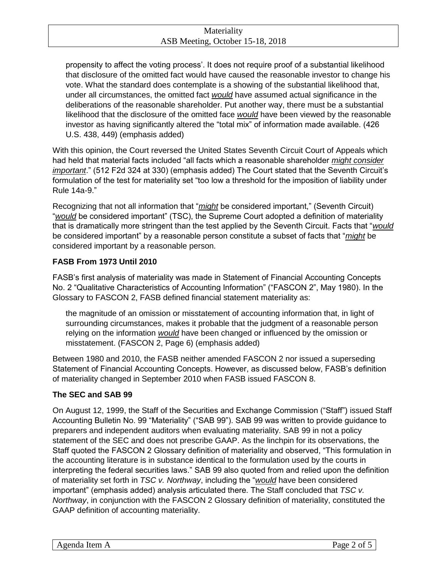propensity to affect the voting process'. It does not require proof of a substantial likelihood that disclosure of the omitted fact would have caused the reasonable investor to change his vote. What the standard does contemplate is a showing of the substantial likelihood that, under all circumstances, the omitted fact *would* have assumed actual significance in the deliberations of the reasonable shareholder. Put another way, there must be a substantial likelihood that the disclosure of the omitted face *would* have been viewed by the reasonable investor as having significantly altered the "total mix" of information made available. (426 U.S. 438, 449) (emphasis added)

With this opinion, the Court reversed the United States Seventh Circuit Court of Appeals which had held that material facts included "all facts which a reasonable shareholder *might consider important*." (512 F2d 324 at 330) (emphasis added) The Court stated that the Seventh Circuit's formulation of the test for materiality set "too low a threshold for the imposition of liability under Rule 14a-9."

Recognizing that not all information that "*might* be considered important," (Seventh Circuit) "*would* be considered important" (TSC), the Supreme Court adopted a definition of materiality that is dramatically more stringent than the test applied by the Seventh Circuit. Facts that "*would* be considered important" by a reasonable person constitute a subset of facts that "*might* be considered important by a reasonable person.

# **FASB From 1973 Until 2010**

FASB's first analysis of materiality was made in Statement of Financial Accounting Concepts No. 2 "Qualitative Characteristics of Accounting Information" ("FASCON 2", May 1980). In the Glossary to FASCON 2, FASB defined financial statement materiality as:

the magnitude of an omission or misstatement of accounting information that, in light of surrounding circumstances, makes it probable that the judgment of a reasonable person relying on the information *would* have been changed or influenced by the omission or misstatement. (FASCON 2, Page 6) (emphasis added)

Between 1980 and 2010, the FASB neither amended FASCON 2 nor issued a superseding Statement of Financial Accounting Concepts. However, as discussed below, FASB's definition of materiality changed in September 2010 when FASB issued FASCON 8.

## **The SEC and SAB 99**

On August 12, 1999, the Staff of the Securities and Exchange Commission ("Staff") issued Staff Accounting Bulletin No. 99 "Materiality" ("SAB 99"). SAB 99 was written to provide guidance to preparers and independent auditors when evaluating materiality. SAB 99 in not a policy statement of the SEC and does not prescribe GAAP. As the linchpin for its observations, the Staff quoted the FASCON 2 Glossary definition of materiality and observed, "This formulation in the accounting literature is in substance identical to the formulation used by the courts in interpreting the federal securities laws." SAB 99 also quoted from and relied upon the definition of materiality set forth in *TSC v. Northway*, including the "*would* have been considered important" (emphasis added) analysis articulated there. The Staff concluded that *TSC v. Northway*, in conjunction with the FASCON 2 Glossary definition of materiality, constituted the GAAP definition of accounting materiality.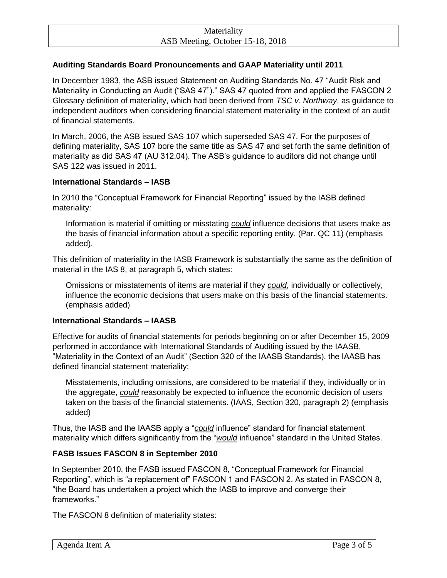## **Auditing Standards Board Pronouncements and GAAP Materiality until 2011**

In December 1983, the ASB issued Statement on Auditing Standards No. 47 "Audit Risk and Materiality in Conducting an Audit ("SAS 47")." SAS 47 quoted from and applied the FASCON 2 Glossary definition of materiality, which had been derived from *TSC v. Northway*, as guidance to independent auditors when considering financial statement materiality in the context of an audit of financial statements.

In March, 2006, the ASB issued SAS 107 which superseded SAS 47. For the purposes of defining materiality, SAS 107 bore the same title as SAS 47 and set forth the same definition of materiality as did SAS 47 (AU 312.04). The ASB's guidance to auditors did not change until SAS 122 was issued in 2011.

## **International Standards – IASB**

In 2010 the "Conceptual Framework for Financial Reporting" issued by the IASB defined materiality:

Information is material if omitting or misstating *could* influence decisions that users make as the basis of financial information about a specific reporting entity. (Par. QC 11) (emphasis added).

This definition of materiality in the IASB Framework is substantially the same as the definition of material in the IAS 8, at paragraph 5, which states:

Omissions or misstatements of items are material if they *could*, individually or collectively, influence the economic decisions that users make on this basis of the financial statements. (emphasis added)

## **International Standards – IAASB**

Effective for audits of financial statements for periods beginning on or after December 15, 2009 performed in accordance with International Standards of Auditing issued by the IAASB, "Materiality in the Context of an Audit" (Section 320 of the IAASB Standards), the IAASB has defined financial statement materiality:

Misstatements, including omissions, are considered to be material if they, individually or in the aggregate, *could* reasonably be expected to influence the economic decision of users taken on the basis of the financial statements. (IAAS, Section 320, paragraph 2) (emphasis added)

Thus, the IASB and the IAASB apply a "*could* influence" standard for financial statement materiality which differs significantly from the "*would* influence" standard in the United States.

## **FASB Issues FASCON 8 in September 2010**

In September 2010, the FASB issued FASCON 8, "Conceptual Framework for Financial Reporting", which is "a replacement of" FASCON 1 and FASCON 2. As stated in FASCON 8, "the Board has undertaken a project which the IASB to improve and converge their frameworks."

The FASCON 8 definition of materiality states: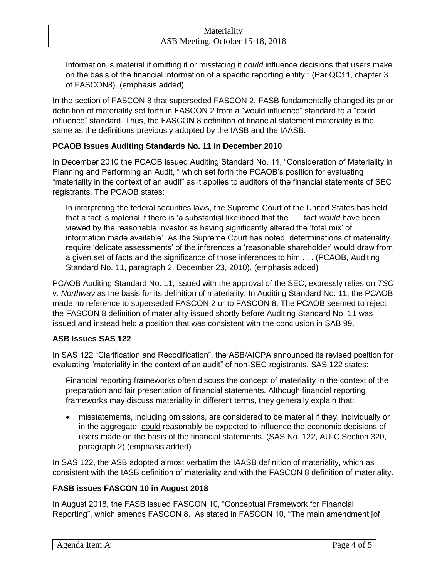Information is material if omitting it or misstating it *could* influence decisions that users make on the basis of the financial information of a specific reporting entity." (Par QC11, chapter 3 of FASCON8). (emphasis added)

In the section of FASCON 8 that superseded FASCON 2, FASB fundamentally changed its prior definition of materiality set forth in FASCON 2 from a "would influence" standard to a "could influence" standard. Thus, the FASCON 8 definition of financial statement materiality is the same as the definitions previously adopted by the IASB and the IAASB.

# **PCAOB Issues Auditing Standards No. 11 in December 2010**

In December 2010 the PCAOB issued Auditing Standard No. 11, "Consideration of Materiality in Planning and Performing an Audit, " which set forth the PCAOB's position for evaluating "materiality in the context of an audit" as it applies to auditors of the financial statements of SEC registrants. The PCAOB states:

In interpreting the federal securities laws, the Supreme Court of the United States has held that a fact is material if there is 'a substantial likelihood that the . . . fact *would* have been viewed by the reasonable investor as having significantly altered the 'total mix' of information made available'. As the Supreme Court has noted, determinations of materiality require 'delicate assessments' of the inferences a 'reasonable shareholder' would draw from a given set of facts and the significance of those inferences to him . . . (PCAOB, Auditing Standard No. 11, paragraph 2, December 23, 2010). (emphasis added)

PCAOB Auditing Standard No. 11, issued with the approval of the SEC, expressly relies on *TSC v. Northway* as the basis for its definition of materiality. In Auditing Standard No. 11, the PCAOB made no reference to superseded FASCON 2 or to FASCON 8. The PCAOB seemed to reject the FASCON 8 definition of materiality issued shortly before Auditing Standard No. 11 was issued and instead held a position that was consistent with the conclusion in SAB 99.

# **ASB Issues SAS 122**

In SAS 122 "Clarification and Recodification", the ASB/AICPA announced its revised position for evaluating "materiality in the context of an audit" of non-SEC registrants. SAS 122 states:

Financial reporting frameworks often discuss the concept of materiality in the context of the preparation and fair presentation of financial statements. Although financial reporting frameworks may discuss materiality in different terms, they generally explain that:

 misstatements, including omissions, are considered to be material if they, individually or in the aggregate, could reasonably be expected to influence the economic decisions of users made on the basis of the financial statements. (SAS No. 122, AU-C Section 320, paragraph 2) (emphasis added)

In SAS 122, the ASB adopted almost verbatim the IAASB definition of materiality, which as consistent with the IASB definition of materiality and with the FASCON 8 definition of materiality.

# **FASB issues FASCON 10 in August 2018**

In August 2018, the FASB issued FASCON 10, "Conceptual Framework for Financial Reporting", which amends FASCON 8. As stated in FASCON 10, "The main amendment [of